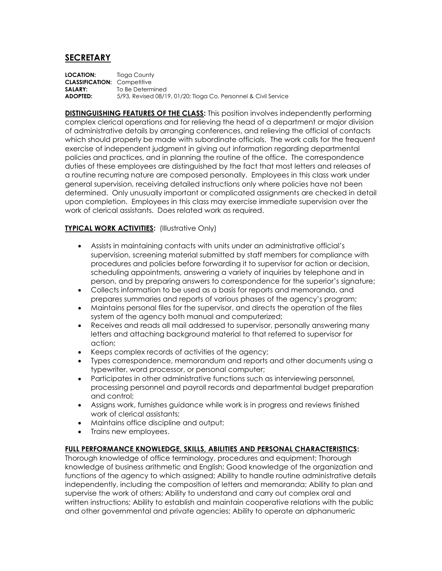## **SECRETARY**

**LOCATION:** Tioga County **CLASSIFICATION:** Competitive **SALARY:** To Be Determined **ADOPTED:** 5/93, Revised 08/19, 01/20; Tioga Co. Personnel & Civil Service

**DISTINGUISHING FEATURES OF THE CLASS:** This position involves independently performing complex clerical operations and for relieving the head of a department or major division of administrative details by arranging conferences, and relieving the official of contacts which should properly be made with subordinate officials. The work calls for the frequent exercise of independent judgment in giving out information regarding departmental policies and practices, and in planning the routine of the office. The correspondence duties of these employees are distinguished by the fact that most letters and releases of a routine recurring nature are composed personally. Employees in this class work under general supervision, receiving detailed instructions only where policies have not been determined. Only unusually important or complicated assignments are checked in detail upon completion. Employees in this class may exercise immediate supervision over the work of clerical assistants. Does related work as required.

## **TYPICAL WORK ACTIVITIES:** (Illustrative Only)

- Assists in maintaining contacts with units under an administrative official's supervision, screening material submitted by staff members for compliance with procedures and policies before forwarding it to supervisor for action or decision, scheduling appointments, answering a variety of inquiries by telephone and in person, and by preparing answers to correspondence for the superior's signature;
- Collects information to be used as a basis for reports and memoranda, and prepares summaries and reports of various phases of the agency's program;
- Maintains personal files for the supervisor, and directs the operation of the files system of the agency both manual and computerized;
- Receives and reads all mail addressed to supervisor, personally answering many letters and attaching background material to that referred to supervisor for action;
- Keeps complex records of activities of the agency;
- Types correspondence, memorandum and reports and other documents using a typewriter, word processor, or personal computer;
- Participates in other administrative functions such as interviewing personnel, processing personnel and payroll records and departmental budget preparation and control;
- Assigns work, furnishes guidance while work is in progress and reviews finished work of clerical assistants;
- Maintains office discipline and output;
- Trains new employees.

## **FULL PERFORMANCE KNOWLEDGE, SKILLS, ABILITIES AND PERSONAL CHARACTERISTICS:**

Thorough knowledge of office terminology, procedures and equipment; Thorough knowledge of business arithmetic and English; Good knowledge of the organization and functions of the agency to which assigned; Ability to handle routine administrative details independently, including the composition of letters and memoranda; Ability to plan and supervise the work of others; Ability to understand and carry out complex oral and written instructions; Ability to establish and maintain cooperative relations with the public and other governmental and private agencies; Ability to operate an alphanumeric